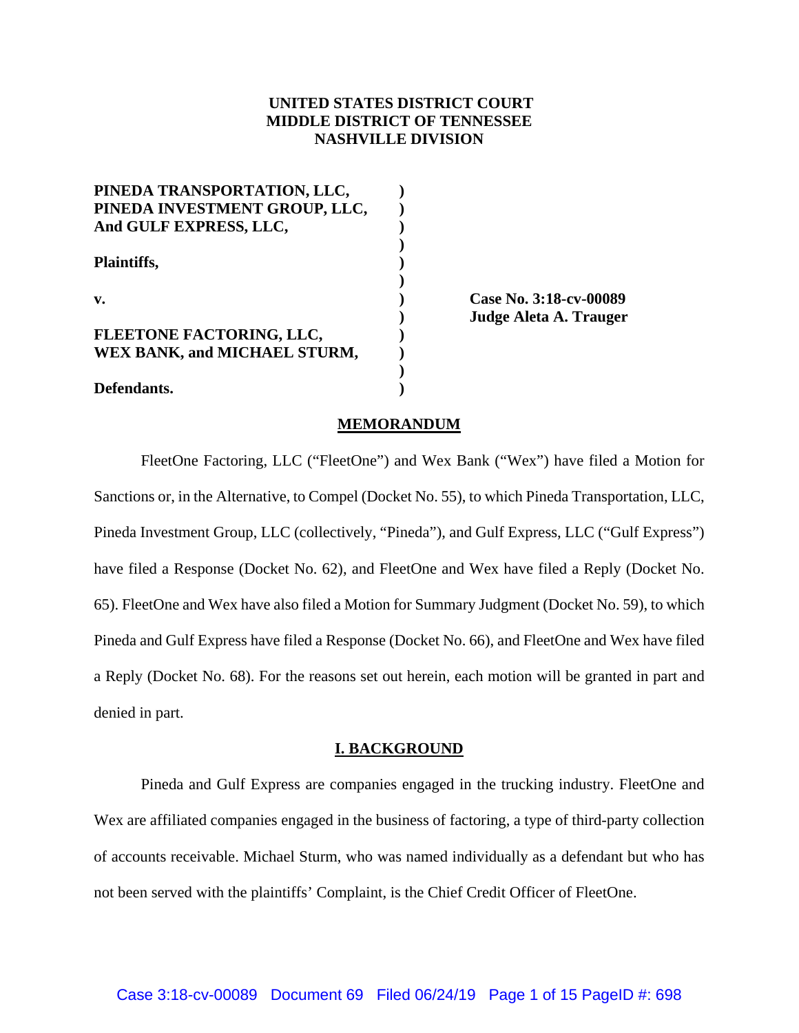# **UNITED STATES DISTRICT COURT MIDDLE DISTRICT OF TENNESSEE NASHVILLE DIVISION**

| PINEDA TRANSPORTATION, LLC,                        |  |                                     |  |
|----------------------------------------------------|--|-------------------------------------|--|
| PINEDA INVESTMENT GROUP, LLC,                      |  |                                     |  |
| And GULF EXPRESS, LLC,<br><b>Plaintiffs,</b><br>v. |  |                                     |  |
|                                                    |  |                                     |  |
|                                                    |  |                                     |  |
|                                                    |  |                                     |  |
|                                                    |  | FLEETONE FACTORING, LLC,            |  |
|                                                    |  | <b>WEX BANK, and MICHAEL STURM,</b> |  |
|                                                    |  |                                     |  |
| Defendants.                                        |  |                                     |  |

**v. ) Case No. 3:18-cv-00089 ) Judge Aleta A. Trauger** 

### **MEMORANDUM**

 FleetOne Factoring, LLC ("FleetOne") and Wex Bank ("Wex") have filed a Motion for Sanctions or, in the Alternative, to Compel (Docket No. 55), to which Pineda Transportation, LLC, Pineda Investment Group, LLC (collectively, "Pineda"), and Gulf Express, LLC ("Gulf Express") have filed a Response (Docket No. 62), and FleetOne and Wex have filed a Reply (Docket No. 65). FleetOne and Wex have also filed a Motion for Summary Judgment (Docket No. 59), to which Pineda and Gulf Express have filed a Response (Docket No. 66), and FleetOne and Wex have filed a Reply (Docket No. 68). For the reasons set out herein, each motion will be granted in part and denied in part.

## **I. BACKGROUND**

Pineda and Gulf Express are companies engaged in the trucking industry. FleetOne and Wex are affiliated companies engaged in the business of factoring, a type of third-party collection of accounts receivable. Michael Sturm, who was named individually as a defendant but who has not been served with the plaintiffs' Complaint, is the Chief Credit Officer of FleetOne.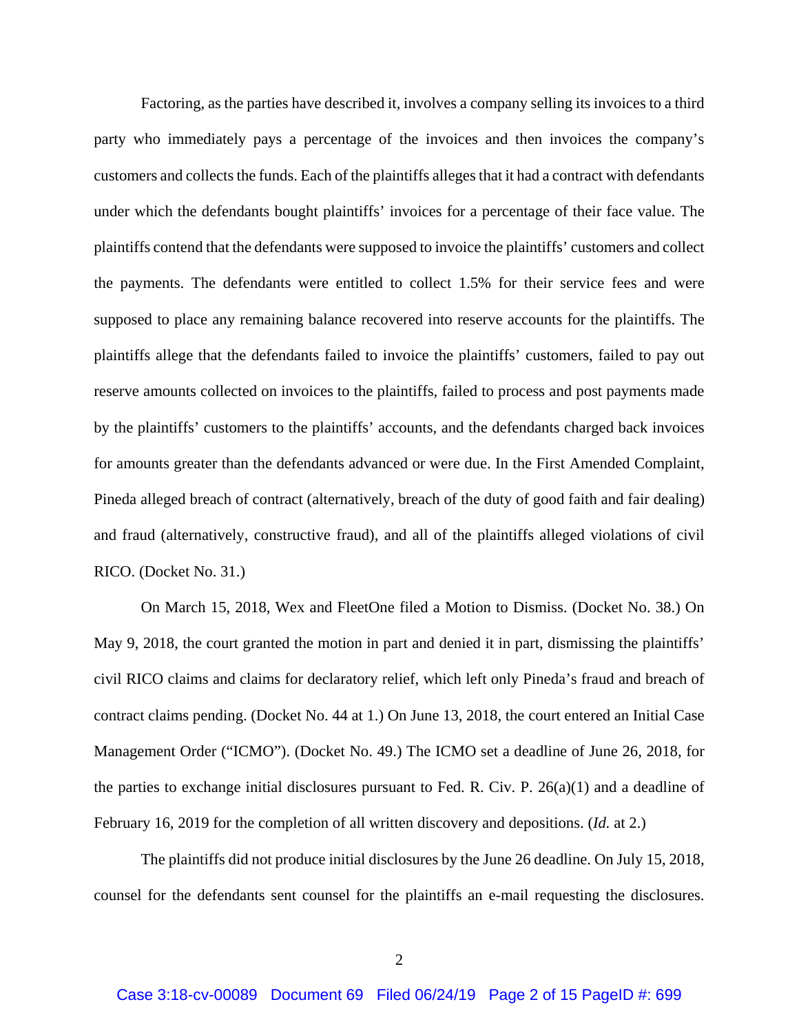Factoring, as the parties have described it, involves a company selling its invoices to a third party who immediately pays a percentage of the invoices and then invoices the company's customers and collects the funds. Each of the plaintiffs alleges that it had a contract with defendants under which the defendants bought plaintiffs' invoices for a percentage of their face value. The plaintiffs contend that the defendants were supposed to invoice the plaintiffs' customers and collect the payments. The defendants were entitled to collect 1.5% for their service fees and were supposed to place any remaining balance recovered into reserve accounts for the plaintiffs. The plaintiffs allege that the defendants failed to invoice the plaintiffs' customers, failed to pay out reserve amounts collected on invoices to the plaintiffs, failed to process and post payments made by the plaintiffs' customers to the plaintiffs' accounts, and the defendants charged back invoices for amounts greater than the defendants advanced or were due. In the First Amended Complaint, Pineda alleged breach of contract (alternatively, breach of the duty of good faith and fair dealing) and fraud (alternatively, constructive fraud), and all of the plaintiffs alleged violations of civil RICO. (Docket No. 31.)

On March 15, 2018, Wex and FleetOne filed a Motion to Dismiss. (Docket No. 38.) On May 9, 2018, the court granted the motion in part and denied it in part, dismissing the plaintiffs' civil RICO claims and claims for declaratory relief, which left only Pineda's fraud and breach of contract claims pending. (Docket No. 44 at 1.) On June 13, 2018, the court entered an Initial Case Management Order ("ICMO"). (Docket No. 49.) The ICMO set a deadline of June 26, 2018, for the parties to exchange initial disclosures pursuant to Fed. R. Civ. P.  $26(a)(1)$  and a deadline of February 16, 2019 for the completion of all written discovery and depositions. (*Id.* at 2.)

The plaintiffs did not produce initial disclosures by the June 26 deadline. On July 15, 2018, counsel for the defendants sent counsel for the plaintiffs an e-mail requesting the disclosures.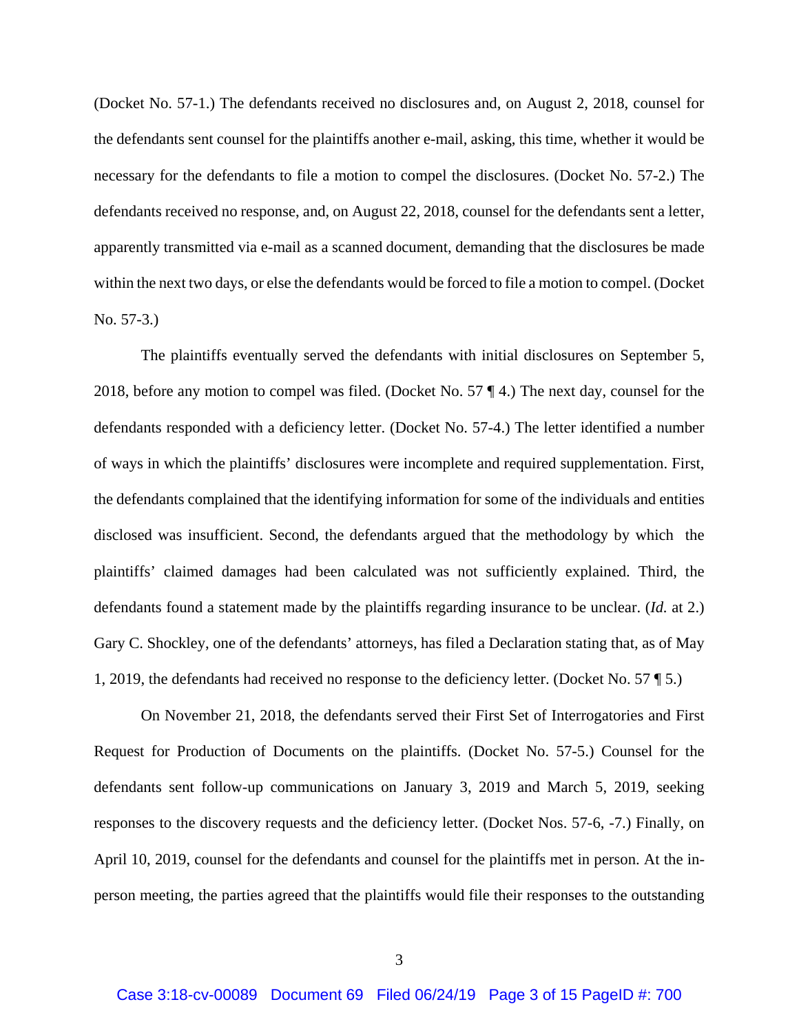(Docket No. 57-1.) The defendants received no disclosures and, on August 2, 2018, counsel for the defendants sent counsel for the plaintiffs another e-mail, asking, this time, whether it would be necessary for the defendants to file a motion to compel the disclosures. (Docket No. 57-2.) The defendants received no response, and, on August 22, 2018, counsel for the defendants sent a letter, apparently transmitted via e-mail as a scanned document, demanding that the disclosures be made within the next two days, or else the defendants would be forced to file a motion to compel. (Docket No. 57-3.)

The plaintiffs eventually served the defendants with initial disclosures on September 5, 2018, before any motion to compel was filed. (Docket No. 57 ¶ 4.) The next day, counsel for the defendants responded with a deficiency letter. (Docket No. 57-4.) The letter identified a number of ways in which the plaintiffs' disclosures were incomplete and required supplementation. First, the defendants complained that the identifying information for some of the individuals and entities disclosed was insufficient. Second, the defendants argued that the methodology by which the plaintiffs' claimed damages had been calculated was not sufficiently explained. Third, the defendants found a statement made by the plaintiffs regarding insurance to be unclear. (*Id.* at 2.) Gary C. Shockley, one of the defendants' attorneys, has filed a Declaration stating that, as of May 1, 2019, the defendants had received no response to the deficiency letter. (Docket No. 57 ¶ 5.)

On November 21, 2018, the defendants served their First Set of Interrogatories and First Request for Production of Documents on the plaintiffs. (Docket No. 57-5.) Counsel for the defendants sent follow-up communications on January 3, 2019 and March 5, 2019, seeking responses to the discovery requests and the deficiency letter. (Docket Nos. 57-6, -7.) Finally, on April 10, 2019, counsel for the defendants and counsel for the plaintiffs met in person. At the inperson meeting, the parties agreed that the plaintiffs would file their responses to the outstanding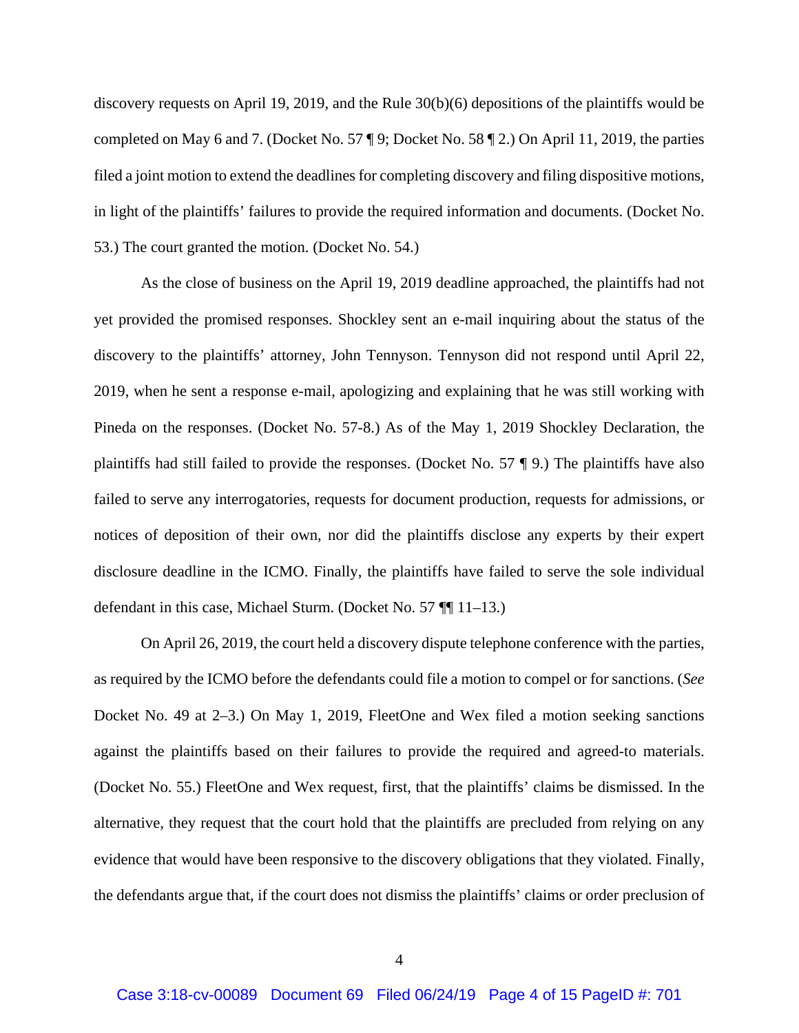discovery requests on April 19, 2019, and the Rule 30(b)(6) depositions of the plaintiffs would be completed on May 6 and 7. (Docket No. 57 ¶ 9; Docket No. 58 ¶ 2.) On April 11, 2019, the parties filed a joint motion to extend the deadlines for completing discovery and filing dispositive motions, in light of the plaintiffs' failures to provide the required information and documents. (Docket No. 53.) The court granted the motion. (Docket No. 54.)

As the close of business on the April 19, 2019 deadline approached, the plaintiffs had not yet provided the promised responses. Shockley sent an e-mail inquiring about the status of the discovery to the plaintiffs' attorney, John Tennyson. Tennyson did not respond until April 22, 2019, when he sent a response e-mail, apologizing and explaining that he was still working with Pineda on the responses. (Docket No. 57-8.) As of the May 1, 2019 Shockley Declaration, the plaintiffs had still failed to provide the responses. (Docket No. 57 ¶ 9.) The plaintiffs have also failed to serve any interrogatories, requests for document production, requests for admissions, or notices of deposition of their own, nor did the plaintiffs disclose any experts by their expert disclosure deadline in the ICMO. Finally, the plaintiffs have failed to serve the sole individual defendant in this case, Michael Sturm. (Docket No. 57 ¶¶ 11–13.)

On April 26, 2019, the court held a discovery dispute telephone conference with the parties, as required by the ICMO before the defendants could file a motion to compel or for sanctions. (*See* Docket No. 49 at 2–3.) On May 1, 2019, FleetOne and Wex filed a motion seeking sanctions against the plaintiffs based on their failures to provide the required and agreed-to materials. (Docket No. 55.) FleetOne and Wex request, first, that the plaintiffs' claims be dismissed. In the alternative, they request that the court hold that the plaintiffs are precluded from relying on any evidence that would have been responsive to the discovery obligations that they violated. Finally, the defendants argue that, if the court does not dismiss the plaintiffs' claims or order preclusion of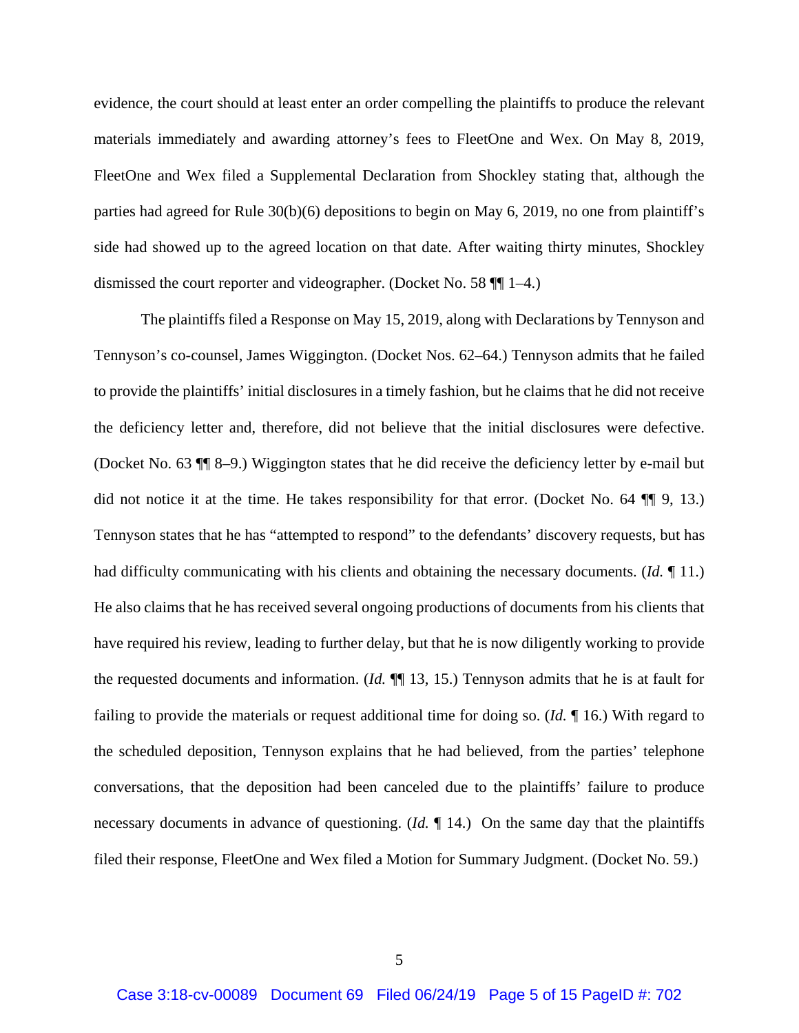evidence, the court should at least enter an order compelling the plaintiffs to produce the relevant materials immediately and awarding attorney's fees to FleetOne and Wex. On May 8, 2019, FleetOne and Wex filed a Supplemental Declaration from Shockley stating that, although the parties had agreed for Rule 30(b)(6) depositions to begin on May 6, 2019, no one from plaintiff's side had showed up to the agreed location on that date. After waiting thirty minutes, Shockley dismissed the court reporter and videographer. (Docket No. 58 ¶¶ 1–4.)

The plaintiffs filed a Response on May 15, 2019, along with Declarations by Tennyson and Tennyson's co-counsel, James Wiggington. (Docket Nos. 62–64.) Tennyson admits that he failed to provide the plaintiffs' initial disclosures in a timely fashion, but he claims that he did not receive the deficiency letter and, therefore, did not believe that the initial disclosures were defective. (Docket No. 63 ¶¶ 8–9.) Wiggington states that he did receive the deficiency letter by e-mail but did not notice it at the time. He takes responsibility for that error. (Docket No. 64  $\P$  9, 13.) Tennyson states that he has "attempted to respond" to the defendants' discovery requests, but has had difficulty communicating with his clients and obtaining the necessary documents. (*Id.* ¶ 11.) He also claims that he has received several ongoing productions of documents from his clients that have required his review, leading to further delay, but that he is now diligently working to provide the requested documents and information. (*Id.* ¶¶ 13, 15.) Tennyson admits that he is at fault for failing to provide the materials or request additional time for doing so. (*Id.* ¶ 16.) With regard to the scheduled deposition, Tennyson explains that he had believed, from the parties' telephone conversations, that the deposition had been canceled due to the plaintiffs' failure to produce necessary documents in advance of questioning. (*Id.* 14.) On the same day that the plaintiffs filed their response, FleetOne and Wex filed a Motion for Summary Judgment. (Docket No. 59.)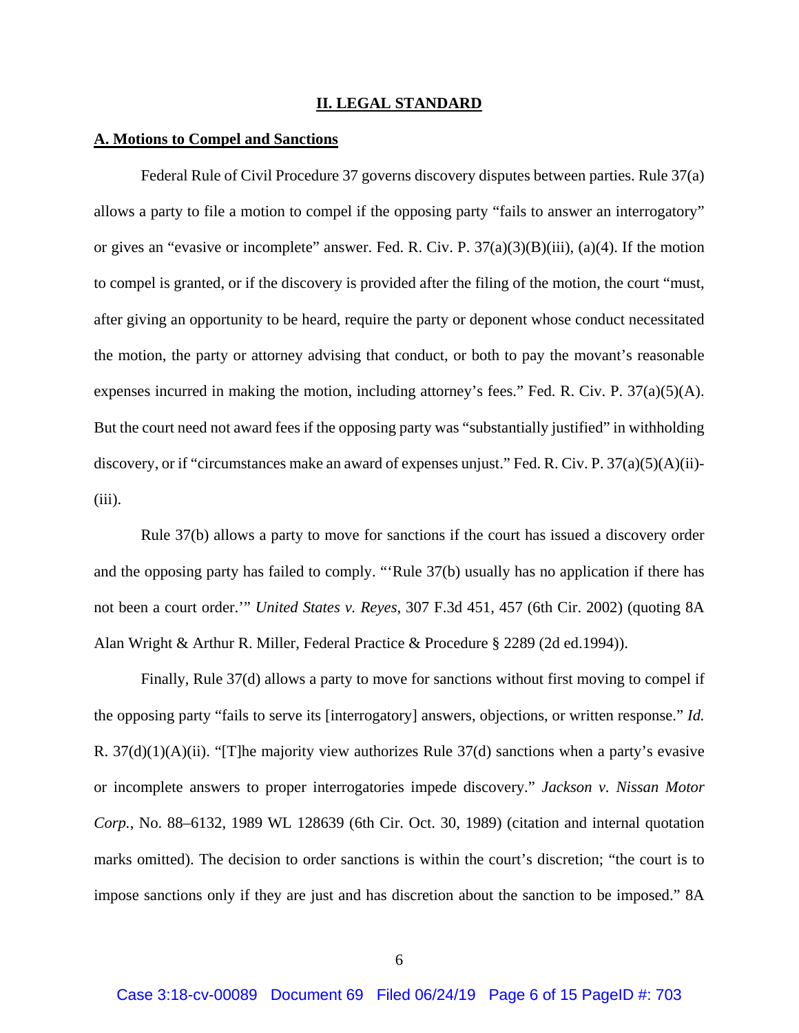#### **II. LEGAL STANDARD**

## **A. Motions to Compel and Sanctions**

Federal Rule of Civil Procedure 37 governs discovery disputes between parties. Rule 37(a) allows a party to file a motion to compel if the opposing party "fails to answer an interrogatory" or gives an "evasive or incomplete" answer. Fed. R. Civ. P. 37(a)(3)(B)(iii), (a)(4). If the motion to compel is granted, or if the discovery is provided after the filing of the motion, the court "must, after giving an opportunity to be heard, require the party or deponent whose conduct necessitated the motion, the party or attorney advising that conduct, or both to pay the movant's reasonable expenses incurred in making the motion, including attorney's fees." Fed. R. Civ. P. 37(a)(5)(A). But the court need not award fees if the opposing party was "substantially justified" in withholding discovery, or if "circumstances make an award of expenses unjust." Fed. R. Civ. P. 37(a)(5)(A)(ii)- $(iii)$ .

Rule 37(b) allows a party to move for sanctions if the court has issued a discovery order and the opposing party has failed to comply. "'Rule 37(b) usually has no application if there has not been a court order.'" *United States v. Reyes*, 307 F.3d 451, 457 (6th Cir. 2002) (quoting 8A Alan Wright & Arthur R. Miller, Federal Practice & Procedure § 2289 (2d ed.1994)).

Finally, Rule 37(d) allows a party to move for sanctions without first moving to compel if the opposing party "fails to serve its [interrogatory] answers, objections, or written response." *Id.* R.  $37(d)(1)(A)(ii)$ . "[T]he majority view authorizes Rule 37(d) sanctions when a party's evasive or incomplete answers to proper interrogatories impede discovery." *Jackson v. Nissan Motor Corp.*, No. 88–6132, 1989 WL 128639 (6th Cir. Oct. 30, 1989) (citation and internal quotation marks omitted). The decision to order sanctions is within the court's discretion; "the court is to impose sanctions only if they are just and has discretion about the sanction to be imposed." 8A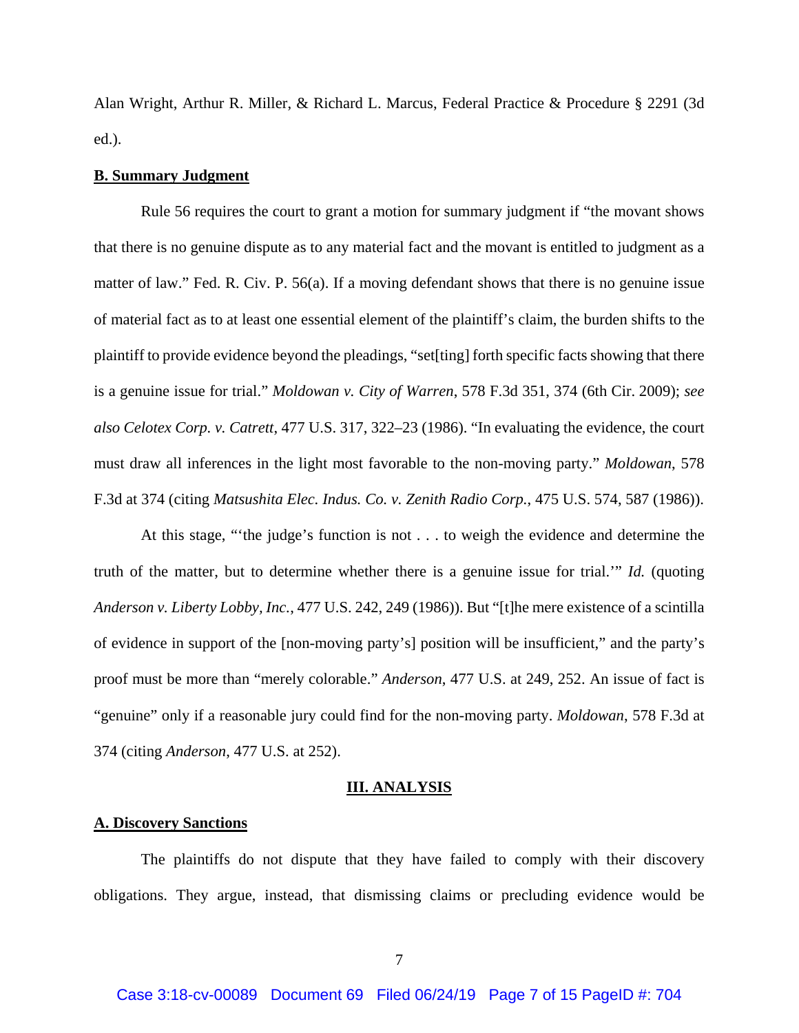Alan Wright, Arthur R. Miller, & Richard L. Marcus, Federal Practice & Procedure § 2291 (3d ed.).

## **B. Summary Judgment**

Rule 56 requires the court to grant a motion for summary judgment if "the movant shows that there is no genuine dispute as to any material fact and the movant is entitled to judgment as a matter of law." Fed. R. Civ. P. 56(a). If a moving defendant shows that there is no genuine issue of material fact as to at least one essential element of the plaintiff's claim, the burden shifts to the plaintiff to provide evidence beyond the pleadings, "set[ting] forth specific facts showing that there is a genuine issue for trial." *Moldowan v. City of Warren*, 578 F.3d 351, 374 (6th Cir. 2009); *see also Celotex Corp. v. Catrett*, 477 U.S. 317, 322–23 (1986). "In evaluating the evidence, the court must draw all inferences in the light most favorable to the non-moving party." *Moldowan*, 578 F.3d at 374 (citing *Matsushita Elec. Indus. Co. v. Zenith Radio Corp.*, 475 U.S. 574, 587 (1986)).

At this stage, "'the judge's function is not . . . to weigh the evidence and determine the truth of the matter, but to determine whether there is a genuine issue for trial.'" *Id.* (quoting *Anderson v. Liberty Lobby, Inc.*, 477 U.S. 242, 249 (1986)). But "[t]he mere existence of a scintilla of evidence in support of the [non-moving party's] position will be insufficient," and the party's proof must be more than "merely colorable." *Anderson*, 477 U.S. at 249, 252. An issue of fact is "genuine" only if a reasonable jury could find for the non-moving party. *Moldowan*, 578 F.3d at 374 (citing *Anderson*, 477 U.S. at 252).

#### **III. ANALYSIS**

## **A. Discovery Sanctions**

The plaintiffs do not dispute that they have failed to comply with their discovery obligations. They argue, instead, that dismissing claims or precluding evidence would be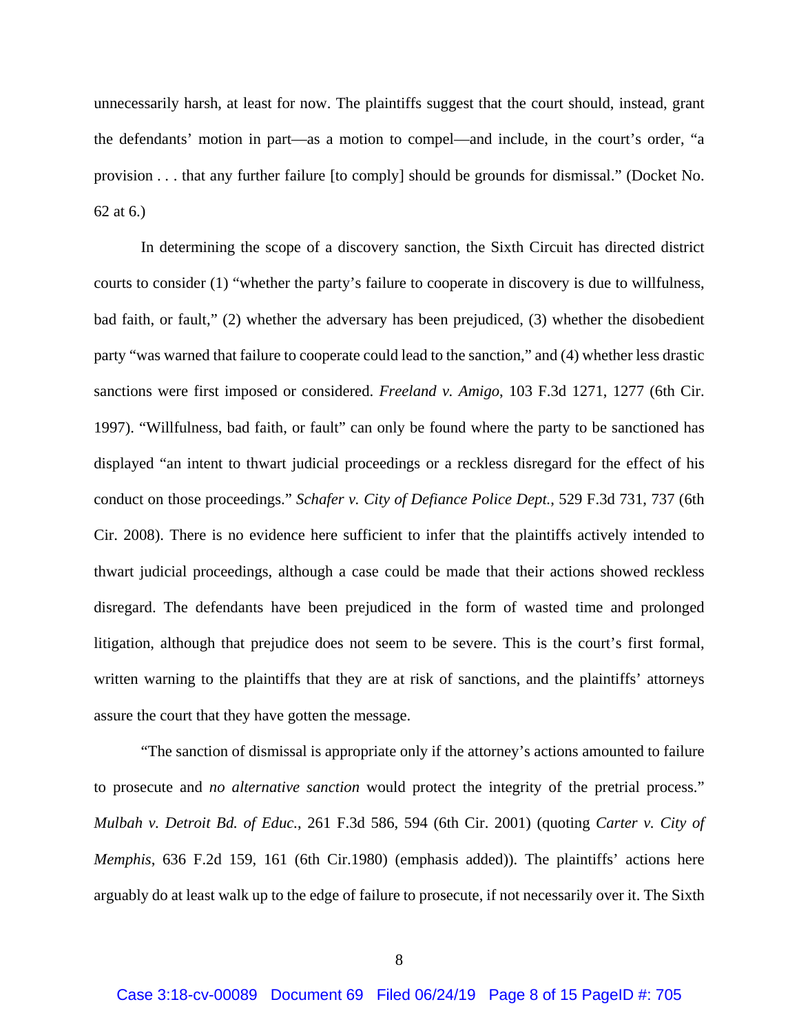unnecessarily harsh, at least for now. The plaintiffs suggest that the court should, instead, grant the defendants' motion in part—as a motion to compel—and include, in the court's order, "a provision . . . that any further failure [to comply] should be grounds for dismissal." (Docket No. 62 at 6.)

In determining the scope of a discovery sanction, the Sixth Circuit has directed district courts to consider (1) "whether the party's failure to cooperate in discovery is due to willfulness, bad faith, or fault," (2) whether the adversary has been prejudiced, (3) whether the disobedient party "was warned that failure to cooperate could lead to the sanction," and (4) whether less drastic sanctions were first imposed or considered. *Freeland v. Amigo*, 103 F.3d 1271, 1277 (6th Cir. 1997). "Willfulness, bad faith, or fault" can only be found where the party to be sanctioned has displayed "an intent to thwart judicial proceedings or a reckless disregard for the effect of his conduct on those proceedings." *Schafer v. City of Defiance Police Dept.*, 529 F.3d 731, 737 (6th Cir. 2008). There is no evidence here sufficient to infer that the plaintiffs actively intended to thwart judicial proceedings, although a case could be made that their actions showed reckless disregard. The defendants have been prejudiced in the form of wasted time and prolonged litigation, although that prejudice does not seem to be severe. This is the court's first formal, written warning to the plaintiffs that they are at risk of sanctions, and the plaintiffs' attorneys assure the court that they have gotten the message.

"The sanction of dismissal is appropriate only if the attorney's actions amounted to failure to prosecute and *no alternative sanction* would protect the integrity of the pretrial process." *Mulbah v. Detroit Bd. of Educ.*, 261 F.3d 586, 594 (6th Cir. 2001) (quoting *Carter v. City of Memphis*, 636 F.2d 159, 161 (6th Cir.1980) (emphasis added)). The plaintiffs' actions here arguably do at least walk up to the edge of failure to prosecute, if not necessarily over it. The Sixth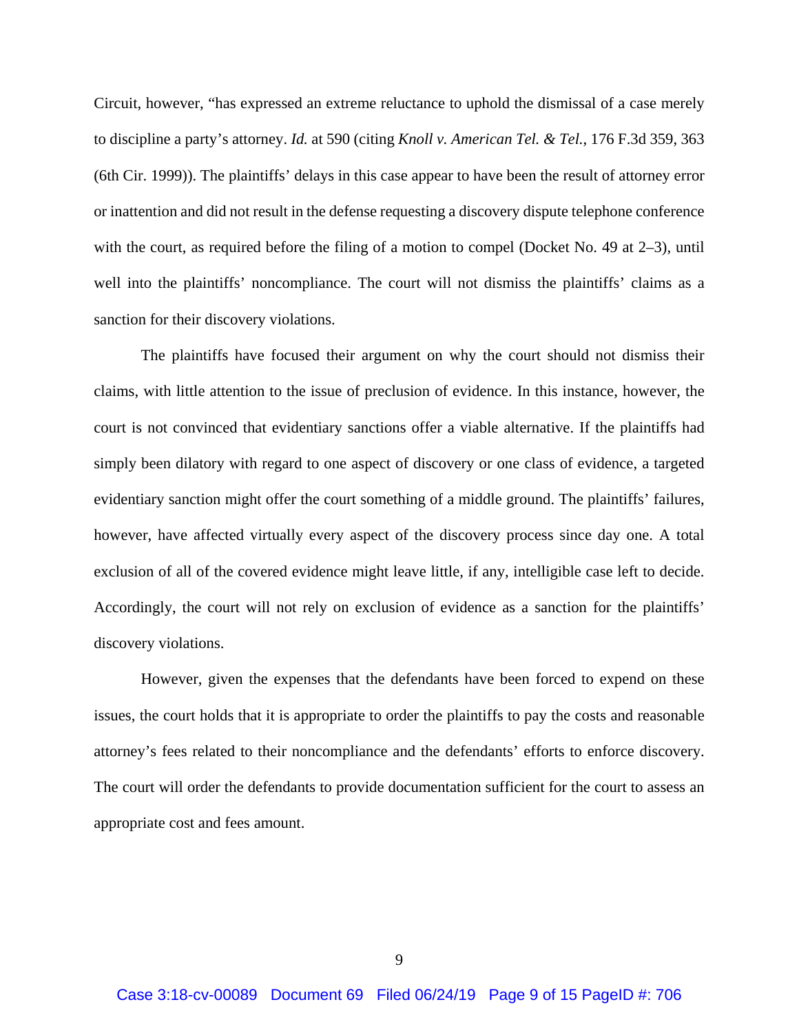Circuit, however, "has expressed an extreme reluctance to uphold the dismissal of a case merely to discipline a party's attorney. *Id.* at 590 (citing *Knoll v. American Tel. & Tel.*, 176 F.3d 359, 363 (6th Cir. 1999)). The plaintiffs' delays in this case appear to have been the result of attorney error or inattention and did not result in the defense requesting a discovery dispute telephone conference with the court, as required before the filing of a motion to compel (Docket No. 49 at 2–3), until well into the plaintiffs' noncompliance. The court will not dismiss the plaintiffs' claims as a sanction for their discovery violations.

The plaintiffs have focused their argument on why the court should not dismiss their claims, with little attention to the issue of preclusion of evidence. In this instance, however, the court is not convinced that evidentiary sanctions offer a viable alternative. If the plaintiffs had simply been dilatory with regard to one aspect of discovery or one class of evidence, a targeted evidentiary sanction might offer the court something of a middle ground. The plaintiffs' failures, however, have affected virtually every aspect of the discovery process since day one. A total exclusion of all of the covered evidence might leave little, if any, intelligible case left to decide. Accordingly, the court will not rely on exclusion of evidence as a sanction for the plaintiffs' discovery violations.

However, given the expenses that the defendants have been forced to expend on these issues, the court holds that it is appropriate to order the plaintiffs to pay the costs and reasonable attorney's fees related to their noncompliance and the defendants' efforts to enforce discovery. The court will order the defendants to provide documentation sufficient for the court to assess an appropriate cost and fees amount.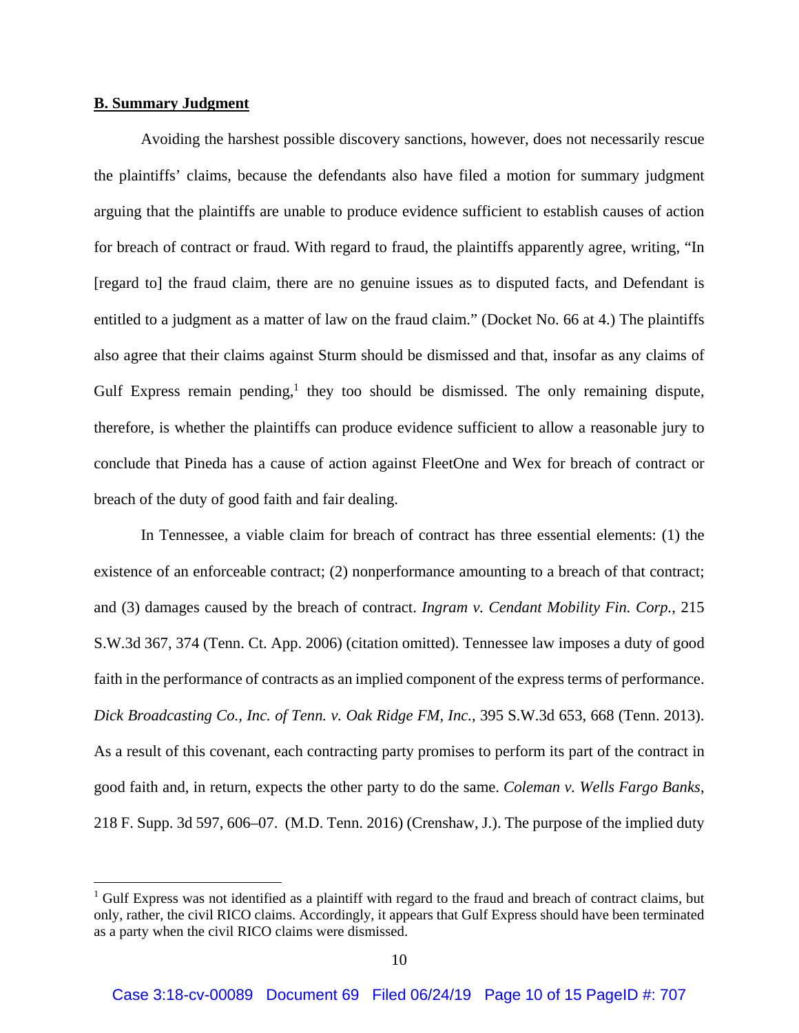# **B. Summary Judgment**

 Avoiding the harshest possible discovery sanctions, however, does not necessarily rescue the plaintiffs' claims, because the defendants also have filed a motion for summary judgment arguing that the plaintiffs are unable to produce evidence sufficient to establish causes of action for breach of contract or fraud. With regard to fraud, the plaintiffs apparently agree, writing, "In [regard to] the fraud claim, there are no genuine issues as to disputed facts, and Defendant is entitled to a judgment as a matter of law on the fraud claim." (Docket No. 66 at 4.) The plaintiffs also agree that their claims against Sturm should be dismissed and that, insofar as any claims of Gulf Express remain pending,<sup>1</sup> they too should be dismissed. The only remaining dispute, therefore, is whether the plaintiffs can produce evidence sufficient to allow a reasonable jury to conclude that Pineda has a cause of action against FleetOne and Wex for breach of contract or breach of the duty of good faith and fair dealing.

 In Tennessee, a viable claim for breach of contract has three essential elements: (1) the existence of an enforceable contract; (2) nonperformance amounting to a breach of that contract; and (3) damages caused by the breach of contract. *Ingram v. Cendant Mobility Fin. Corp.*, 215 S.W.3d 367, 374 (Tenn. Ct. App. 2006) (citation omitted). Tennessee law imposes a duty of good faith in the performance of contracts as an implied component of the express terms of performance. *Dick Broadcasting Co., Inc. of Tenn. v. Oak Ridge FM, Inc.*, 395 S.W.3d 653, 668 (Tenn. 2013). As a result of this covenant, each contracting party promises to perform its part of the contract in good faith and, in return, expects the other party to do the same. *Coleman v. Wells Fargo Banks*, 218 F. Supp. 3d 597, 606–07. (M.D. Tenn. 2016) (Crenshaw, J.). The purpose of the implied duty

<sup>&</sup>lt;sup>1</sup> Gulf Express was not identified as a plaintiff with regard to the fraud and breach of contract claims, but only, rather, the civil RICO claims. Accordingly, it appears that Gulf Express should have been terminated as a party when the civil RICO claims were dismissed.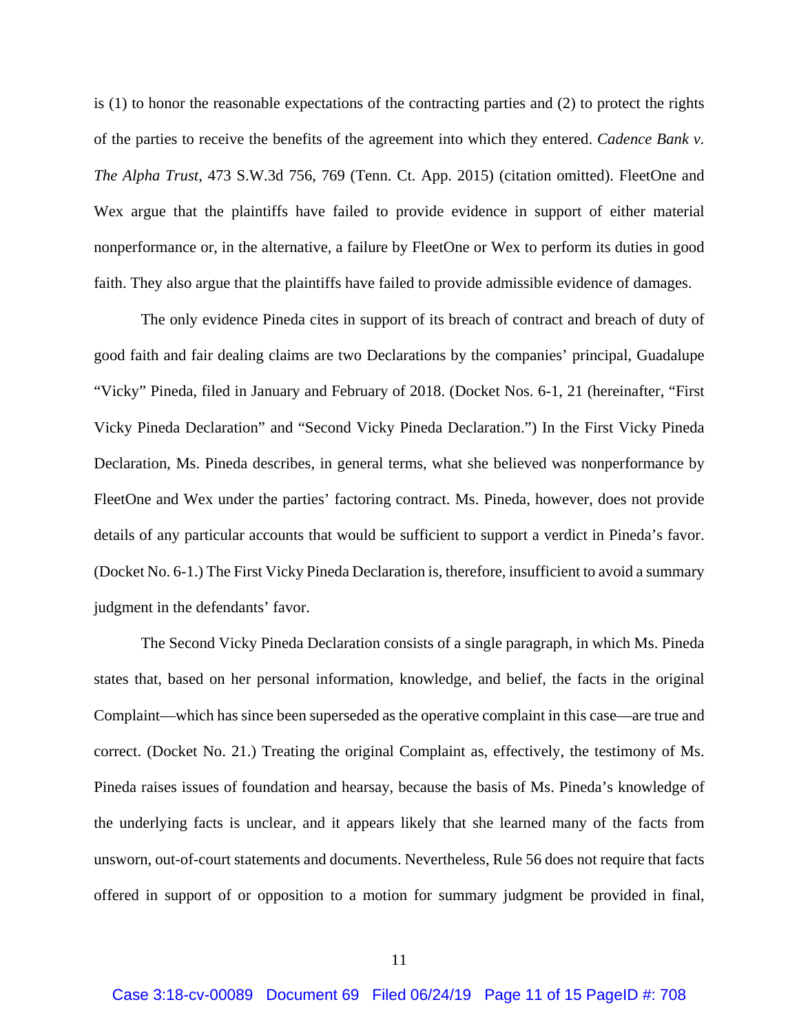is (1) to honor the reasonable expectations of the contracting parties and (2) to protect the rights of the parties to receive the benefits of the agreement into which they entered. *Cadence Bank v. The Alpha Trust*, 473 S.W.3d 756, 769 (Tenn. Ct. App. 2015) (citation omitted). FleetOne and Wex argue that the plaintiffs have failed to provide evidence in support of either material nonperformance or, in the alternative, a failure by FleetOne or Wex to perform its duties in good faith. They also argue that the plaintiffs have failed to provide admissible evidence of damages.

The only evidence Pineda cites in support of its breach of contract and breach of duty of good faith and fair dealing claims are two Declarations by the companies' principal, Guadalupe "Vicky" Pineda, filed in January and February of 2018. (Docket Nos. 6-1, 21 (hereinafter, "First Vicky Pineda Declaration" and "Second Vicky Pineda Declaration.") In the First Vicky Pineda Declaration, Ms. Pineda describes, in general terms, what she believed was nonperformance by FleetOne and Wex under the parties' factoring contract. Ms. Pineda, however, does not provide details of any particular accounts that would be sufficient to support a verdict in Pineda's favor. (Docket No. 6-1.) The First Vicky Pineda Declaration is, therefore, insufficient to avoid a summary judgment in the defendants' favor.

The Second Vicky Pineda Declaration consists of a single paragraph, in which Ms. Pineda states that, based on her personal information, knowledge, and belief, the facts in the original Complaint—which has since been superseded as the operative complaint in this case—are true and correct. (Docket No. 21.) Treating the original Complaint as, effectively, the testimony of Ms. Pineda raises issues of foundation and hearsay, because the basis of Ms. Pineda's knowledge of the underlying facts is unclear, and it appears likely that she learned many of the facts from unsworn, out-of-court statements and documents. Nevertheless, Rule 56 does not require that facts offered in support of or opposition to a motion for summary judgment be provided in final,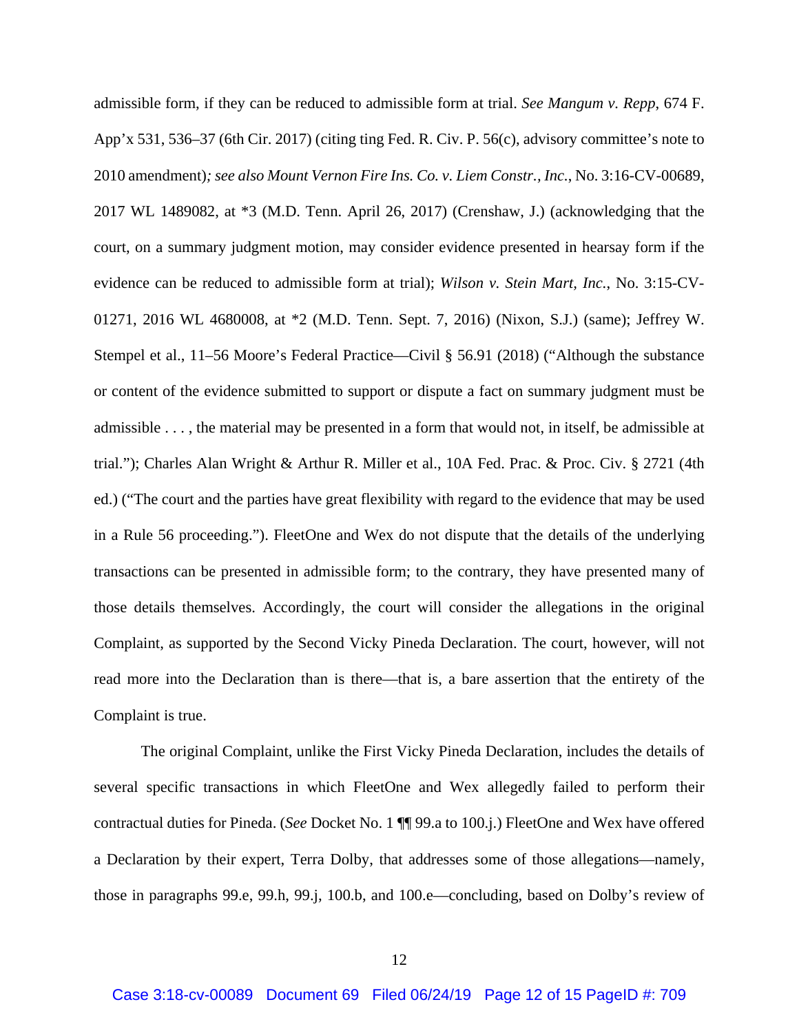admissible form, if they can be reduced to admissible form at trial. *See Mangum v. Repp*, 674 F. App'x 531, 536–37 (6th Cir. 2017) (citing ting Fed. R. Civ. P. 56(c), advisory committee's note to 2010 amendment)*; see also Mount Vernon Fire Ins. Co. v. Liem Constr., Inc.*, No. 3:16-CV-00689, 2017 WL 1489082, at \*3 (M.D. Tenn. April 26, 2017) (Crenshaw, J.) (acknowledging that the court, on a summary judgment motion, may consider evidence presented in hearsay form if the evidence can be reduced to admissible form at trial); *Wilson v. Stein Mart, Inc.*, No. 3:15-CV-01271, 2016 WL 4680008, at \*2 (M.D. Tenn. Sept. 7, 2016) (Nixon, S.J.) (same); Jeffrey W. Stempel et al., 11–56 Moore's Federal Practice—Civil § 56.91 (2018) ("Although the substance or content of the evidence submitted to support or dispute a fact on summary judgment must be admissible . . . , the material may be presented in a form that would not, in itself, be admissible at trial."); Charles Alan Wright & Arthur R. Miller et al., 10A Fed. Prac. & Proc. Civ. § 2721 (4th ed.) ("The court and the parties have great flexibility with regard to the evidence that may be used in a Rule 56 proceeding."). FleetOne and Wex do not dispute that the details of the underlying transactions can be presented in admissible form; to the contrary, they have presented many of those details themselves. Accordingly, the court will consider the allegations in the original Complaint, as supported by the Second Vicky Pineda Declaration. The court, however, will not read more into the Declaration than is there—that is, a bare assertion that the entirety of the Complaint is true.

 The original Complaint, unlike the First Vicky Pineda Declaration, includes the details of several specific transactions in which FleetOne and Wex allegedly failed to perform their contractual duties for Pineda. (*See* Docket No. 1 ¶¶ 99.a to 100.j.) FleetOne and Wex have offered a Declaration by their expert, Terra Dolby, that addresses some of those allegations—namely, those in paragraphs 99.e, 99.h, 99.j, 100.b, and 100.e—concluding, based on Dolby's review of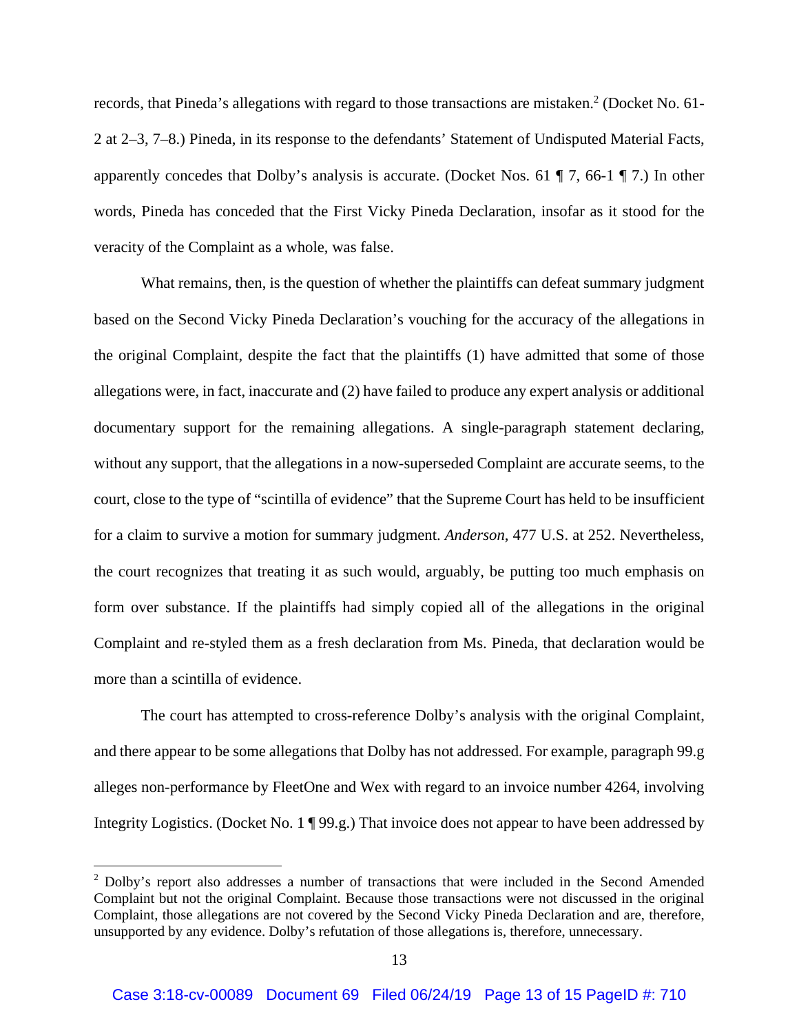records, that Pineda's allegations with regard to those transactions are mistaken.<sup>2</sup> (Docket No. 61-2 at 2–3, 7–8.) Pineda, in its response to the defendants' Statement of Undisputed Material Facts, apparently concedes that Dolby's analysis is accurate. (Docket Nos. 61 ¶ 7, 66-1 ¶ 7.) In other words, Pineda has conceded that the First Vicky Pineda Declaration, insofar as it stood for the veracity of the Complaint as a whole, was false.

 What remains, then, is the question of whether the plaintiffs can defeat summary judgment based on the Second Vicky Pineda Declaration's vouching for the accuracy of the allegations in the original Complaint, despite the fact that the plaintiffs (1) have admitted that some of those allegations were, in fact, inaccurate and (2) have failed to produce any expert analysis or additional documentary support for the remaining allegations. A single-paragraph statement declaring, without any support, that the allegations in a now-superseded Complaint are accurate seems, to the court, close to the type of "scintilla of evidence" that the Supreme Court has held to be insufficient for a claim to survive a motion for summary judgment. *Anderson*, 477 U.S. at 252. Nevertheless, the court recognizes that treating it as such would, arguably, be putting too much emphasis on form over substance. If the plaintiffs had simply copied all of the allegations in the original Complaint and re-styled them as a fresh declaration from Ms. Pineda, that declaration would be more than a scintilla of evidence.

 The court has attempted to cross-reference Dolby's analysis with the original Complaint, and there appear to be some allegations that Dolby has not addressed. For example, paragraph 99.g alleges non-performance by FleetOne and Wex with regard to an invoice number 4264, involving Integrity Logistics. (Docket No. 1 ¶ 99.g.) That invoice does not appear to have been addressed by

<sup>&</sup>lt;sup>2</sup> Dolby's report also addresses a number of transactions that were included in the Second Amended Complaint but not the original Complaint. Because those transactions were not discussed in the original Complaint, those allegations are not covered by the Second Vicky Pineda Declaration and are, therefore, unsupported by any evidence. Dolby's refutation of those allegations is, therefore, unnecessary.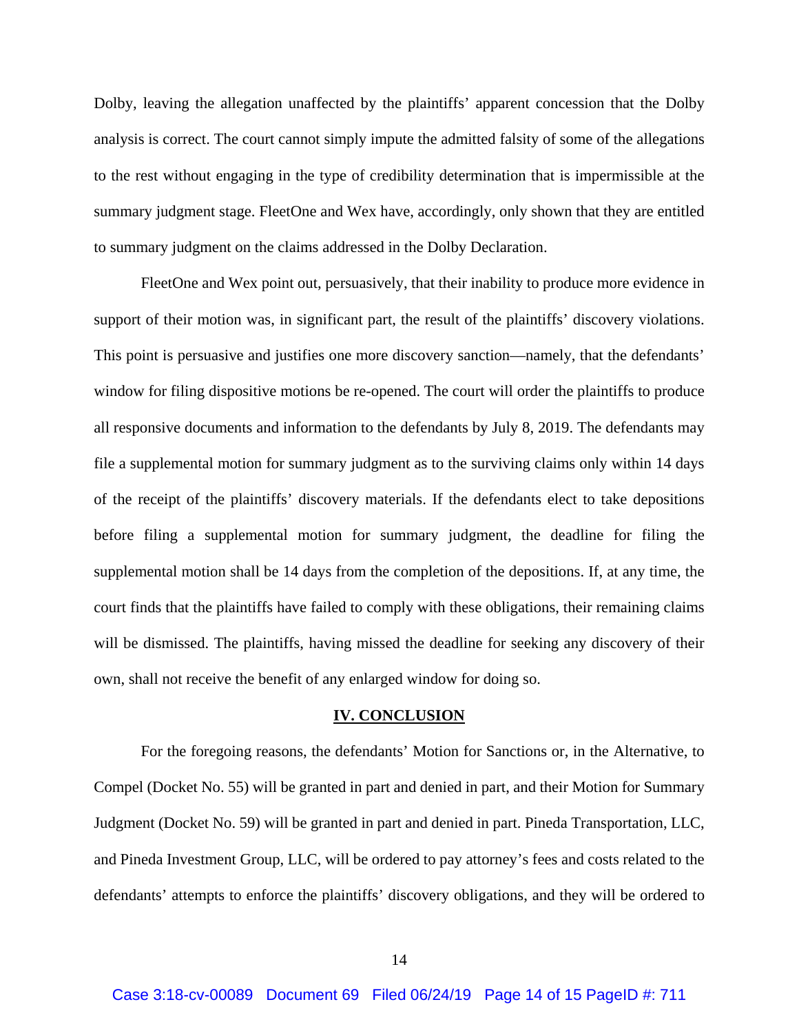Dolby, leaving the allegation unaffected by the plaintiffs' apparent concession that the Dolby analysis is correct. The court cannot simply impute the admitted falsity of some of the allegations to the rest without engaging in the type of credibility determination that is impermissible at the summary judgment stage. FleetOne and Wex have, accordingly, only shown that they are entitled to summary judgment on the claims addressed in the Dolby Declaration.

 FleetOne and Wex point out, persuasively, that their inability to produce more evidence in support of their motion was, in significant part, the result of the plaintiffs' discovery violations. This point is persuasive and justifies one more discovery sanction—namely, that the defendants' window for filing dispositive motions be re-opened. The court will order the plaintiffs to produce all responsive documents and information to the defendants by July 8, 2019. The defendants may file a supplemental motion for summary judgment as to the surviving claims only within 14 days of the receipt of the plaintiffs' discovery materials. If the defendants elect to take depositions before filing a supplemental motion for summary judgment, the deadline for filing the supplemental motion shall be 14 days from the completion of the depositions. If, at any time, the court finds that the plaintiffs have failed to comply with these obligations, their remaining claims will be dismissed. The plaintiffs, having missed the deadline for seeking any discovery of their own, shall not receive the benefit of any enlarged window for doing so.

#### **IV. CONCLUSION**

For the foregoing reasons, the defendants' Motion for Sanctions or, in the Alternative, to Compel (Docket No. 55) will be granted in part and denied in part, and their Motion for Summary Judgment (Docket No. 59) will be granted in part and denied in part. Pineda Transportation, LLC, and Pineda Investment Group, LLC, will be ordered to pay attorney's fees and costs related to the defendants' attempts to enforce the plaintiffs' discovery obligations, and they will be ordered to